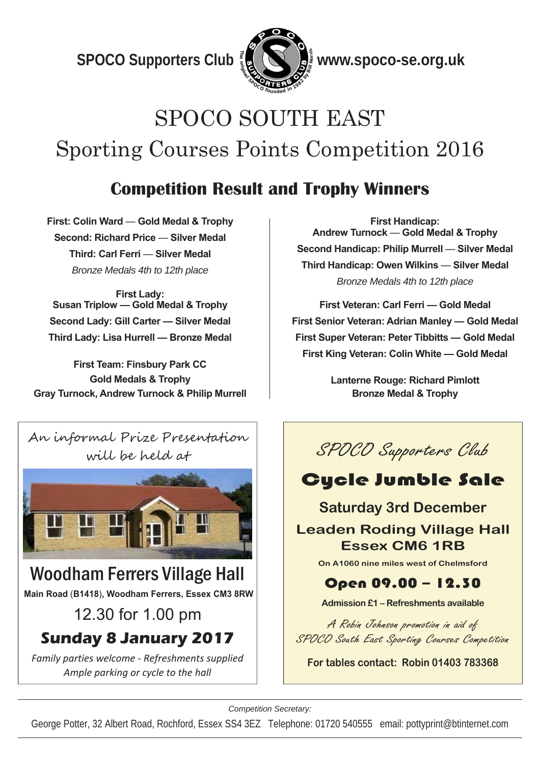$\frac{1}{2}$ **b CO** Supporters Club  $\frac{7}{2}$  **CO**  $\frac{1}{2}$  www.spoco-se.org.uk



## SPOCO SOUTH EAST Sporting Courses Points Competition 2016

## **Competition Result and Trophy Winners**

**First: Colin Ward** — **Gold Medal & Trophy Second: Richard Price** — **Silver Medal Third: Carl Ferri** — **Silver Medal**  *Bronze Medals 4th to 12th place* 

**First Lady: Susan Triplow — Gold Medal & Trophy Second Lady: Gill Carter — Silver Medal Third Lady: Lisa Hurrell — Bronze Medal** 

**First Team: Finsbury Park CC Gold Medals & Trophy Gray Turnock, Andrew Turnock & Philip Murrell** 



# 12.30 for 1.00 pm

**Sunday 8 January 2017** 

*Family parties welcome ‐ Refreshments supplied Ample parking or cycle to the hall* 

**First Handicap: Andrew Turnock** — **Gold Medal & Trophy Second Handicap: Philip Murrell** — **Silver Medal Third Handicap: Owen Wilkins** — **Silver Medal**  *Bronze Medals 4th to 12th place* 

**First Veteran: Carl Ferri — Gold Medal First Senior Veteran: Adrian Manley — Gold Medal First Super Veteran: Peter Tibbitts — Gold Medal First King Veteran: Colin White — Gold Medal** 

> **Lanterne Rouge: Richard Pimlott Bronze Medal & Trophy**



## Cycle Jumble Sale

#### **Saturday 3rd December Leaden Roding Village Hall Essex CM6 1RB**

**On A1060 nine miles west of Chelmsford** 

#### Open 09.00 – 12.30

**Admission £1 – Refreshments available** 

A Robin Johnson promotion in aid of SPOCO South East Sporting Courses Competition

**For tables contact: Robin 01403 783368** 

*Competition Secretary:* 

George Potter, 32 Albert Road, Rochford, Essex SS4 3EZ Telephone: 01720 540555 email: pottyprint@btinternet.com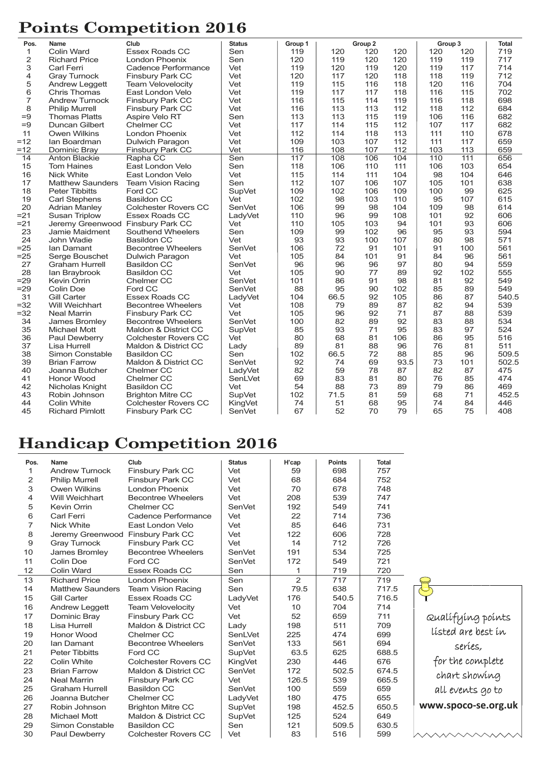## **Points Competition 2016**

| Pos.<br>Club<br><b>Status</b><br>Group 1<br>Group <sub>2</sub><br>Name                         |      | Group 3 |     | <b>Total</b> |
|------------------------------------------------------------------------------------------------|------|---------|-----|--------------|
| 1<br>Colin Ward<br><b>Essex Roads CC</b><br>Sen<br>119<br>120<br>120                           | 120  | 120     | 120 | 719          |
| $\mathbf{2}$<br>Sen<br>120<br><b>Richard Price</b><br>London Phoenix<br>119<br>120             | 120  | 119     | 119 | 717          |
| 3<br>Vet<br>120<br><b>Carl Ferri</b><br>Cadence Performance<br>119<br>119                      | 120  | 119     | 117 | 714          |
| $\overline{4}$<br>Vet<br>120<br>117<br>120<br><b>Gray Turnock</b><br><b>Finsbury Park CC</b>   | 118  | 118     | 119 | 712          |
| $\mathbf 5$<br>119<br>115<br>Vet<br>116<br><b>Andrew Leggett</b><br><b>Team Velovelocity</b>   | 118  | 120     | 116 | 704          |
| 6<br>Vet<br>119<br>117<br><b>Chris Thomas</b><br>East London Velo<br>117                       | 118  | 116     | 115 | 702          |
| $\overline{7}$<br><b>Andrew Turnock</b><br><b>Finsbury Park CC</b><br>Vet<br>116<br>115<br>114 | 119  | 116     | 118 | 698          |
| 8<br>Vet<br>113<br>116<br>113<br><b>Philip Murrell</b><br><b>Finsbury Park CC</b>              | 112  | 118     | 112 | 684          |
| $=9$<br>113<br>113<br><b>Thomas Platts</b><br>Aspire Velo RT<br>Sen<br>115                     | 119  | 106     | 116 | 682          |
| $=9$<br>Vet<br>117<br>114<br>115<br><b>Duncan Gilbert</b><br>Chelmer CC                        | 112  | 107     | 117 | 682          |
| 112<br>11<br><b>Owen Wilkins</b><br><b>London Phoenix</b><br>Vet<br>114<br>118                 | 113  | 111     | 110 | 678          |
| $=12$<br>Vet<br>109<br>103<br>107<br><b>Dulwich Paragon</b><br>lan Boardman                    | 112  | 111     | 117 | 659          |
| $=12$<br>Vet<br>116<br>Dominic Bray<br>Finsbury Park CC<br>108<br>107                          | 112  | 103     | 113 | 659          |
| $\overline{117}$<br>14<br>Sen<br>108<br>106<br><b>Anton Blackie</b><br>Rapha CC                | 104  | 110     | 111 | 656          |
| 15<br>106<br><b>Tom Haines</b><br>East London Velo<br>Sen<br>118<br>110                        | 111  | 106     | 103 | 654          |
| 16<br>Vet<br>115<br>114<br>111<br><b>Nick White</b><br>East London Velo                        | 104  | 98      | 104 | 646          |
| 17<br>107<br>Sen<br>112<br>106<br><b>Matthew Saunders</b><br><b>Team Vision Racing</b>         | 107  | 105     | 101 | 638          |
| 18<br>109<br>102<br><b>Peter Tibbitts</b><br>Ford CC<br>SupVet<br>106                          | 109  | 100     | 99  | 625          |
| 19<br>102<br>98<br><b>Carl Stephens</b><br><b>Basildon CC</b><br>Vet<br>103                    | 110  | 95      | 107 | 615          |
| 20<br>106<br>99<br>98<br><b>Adrian Manley</b><br><b>Colchester Rovers CC</b><br><b>SenVet</b>  | 104  | 109     | 98  | 614          |
| $= 21$<br>110<br>96<br>99<br><b>Susan Triplow</b><br>Essex Roads CC<br>LadyVet                 | 108  | 101     | 92  | 606          |
| $= 21$<br>Jeremy Greenwood Finsbury Park CC<br>Vet<br>110<br>105<br>103                        | 94   | 101     | 93  | 606          |
| 23<br>109<br>99<br>102<br>Jamie Maidment<br>Southend Wheelers<br>Sen                           | 96   | 95      | 93  | 594          |
| 24<br>93<br>Vet<br>93<br>100<br>John Wadie<br>Basildon CC                                      | 107  | 80      | 98  | 571          |
| $=25$<br>72<br>SenVet<br>106<br>91<br>Ian Damant<br><b>Becontree Wheelers</b>                  | 101  | 91      | 100 | 561          |
| $=25$<br>84<br>Vet<br>105<br>101<br>Serge Bouschet<br>Dulwich Paragon                          | 91   | 84      | 96  | 561          |
| 27<br>SenVet<br>96<br>96<br>96<br><b>Graham Hurrell</b><br><b>Basildon CC</b>                  | 97   | 80      | 94  | 559          |
| 28<br>Vet<br>105<br>90<br>77<br>lan Braybrook<br><b>Basildon CC</b>                            | 89   | 92      | 102 | 555          |
| 86<br>$=29$<br>Kevin Orrin<br>Chelmer CC<br>SenVet<br>101<br>91                                | 98   | 81      | 92  | 549          |
| $=29$<br>88<br>95<br>90<br>Colin Doe<br>Ford CC<br><b>SenVet</b>                               | 102  | 85      | 89  | 549          |
| 31<br><b>Essex Roads CC</b><br>66.5<br>92<br><b>Gill Carter</b><br>LadyVet<br>104              | 105  | 86      | 87  | 540.5        |
| $= 32$<br>108<br>89<br><b>Becontree Wheelers</b><br>Vet<br>79<br>Will Weichhart                | 87   | 82      | 94  | 539          |
| $=32$<br>Vet<br>96<br>92<br><b>Neal Marrin</b><br>Finsbury Park CC<br>105                      | 71   | 87      | 88  | 539          |
| 34<br>SenVet<br>100<br>82<br>89<br>James Bromley<br><b>Becontree Wheelers</b>                  | 92   | 83      | 88  | 534          |
| 35<br>85<br>93<br>71<br><b>Michael Mott</b><br>Maldon & District CC<br><b>SupVet</b>           | 95   | 83      | 97  | 524          |
| 68<br>36<br>Vet<br>80<br>81<br><b>Paul Dewberry</b><br><b>Colchester Rovers CC</b>             | 106  | 86      | 95  | 516          |
| 37<br>89<br>81<br>88<br>Lisa Hurrell<br>Maldon & District CC<br>Lady                           | 96   | 76      | 81  | 511          |
| 38<br>Simon Constable<br>102<br>66.5<br>72<br><b>Basildon CC</b><br>Sen                        | 88   | 85      | 96  | 509.5        |
| 39<br>92<br>69<br><b>Brian Farrow</b><br>Maldon & District CC<br>SenVet<br>74                  | 93.5 | 73      | 101 | 502.5        |
| 40<br>82<br>59<br>78<br>Chelmer CC<br>LadyVet<br>Joanna Butcher                                | 87   | 82      | 87  | 475          |
| 41<br>69<br>83<br>Honor Wood<br>Chelmer CC<br>SenLVet<br>81                                    | 80   | 76      | 85  | 474          |
| 42<br>54<br>88<br>73<br><b>Basildon CC</b><br>Vet<br>Nicholas Knight                           | 89   | 79      | 86  | 469          |
| 43<br><b>Brighton Mitre CC</b><br>SupVet<br>102<br>71.5<br>81<br>Robin Johnson                 | 59   | 68      | 71  | 452.5        |
| 44<br>51<br>68<br>Colin White<br><b>Colchester Rovers CC</b><br>74<br><b>KingVet</b>           | 95   | 74      | 84  | 446          |
| 52<br>45<br>67<br>70<br><b>Richard Pimlott</b><br><b>Finsbury Park CC</b><br>SenVet            | 79   | 65      | 75  | 408          |

### **Handicap Competition 2016**

| Pos.           | Name                              | Club                        | <b>Status</b> | H'cap          | <b>Points</b> | <b>Total</b> |              |
|----------------|-----------------------------------|-----------------------------|---------------|----------------|---------------|--------------|--------------|
| 1              | <b>Andrew Turnock</b>             | Finsbury Park CC            | Vet           | 59             | 698           | 757          |              |
| 2              | <b>Philip Murrell</b>             | <b>Finsbury Park CC</b>     | Vet           | 68             | 684           | 752          |              |
| 3              | <b>Owen Wilkins</b>               | London Phoenix              | Vet           | 70             | 678           | 748          |              |
| 4              | Will Weichhart                    | <b>Becontree Wheelers</b>   | Vet           | 208            | 539           | 747          |              |
| 5              | Kevin Orrin                       | Chelmer CC                  | <b>SenVet</b> | 192            | 549           | 741          |              |
| 6              | <b>Carl Ferri</b>                 | Cadence Performance         | Vet           | 22             | 714           | 736          |              |
| $\overline{7}$ | <b>Nick White</b>                 | East London Velo            | Vet           | 85             | 646           | 731          |              |
| 8              | Jeremy Greenwood Finsbury Park CC |                             | Vet           | 122            | 606           | 728          |              |
| 9              | <b>Gray Turnock</b>               | <b>Finsbury Park CC</b>     | Vet           | 14             | 712           | 726          |              |
| 10             | James Bromley                     | <b>Becontree Wheelers</b>   | SenVet        | 191            | 534           | 725          |              |
| 11             | Colin Doe                         | Ford CC                     | <b>SenVet</b> | 172            | 549           | 721          |              |
| 12             | Colin Ward                        | Essex Roads CC              | Sen           | 1              | 719           | 720          |              |
| 13             | <b>Richard Price</b>              | London Phoenix              | Sen           | $\overline{2}$ | 717           | 719          |              |
| 14             | <b>Matthew Saunders</b>           | <b>Team Vision Racing</b>   | Sen           | 79.5           | 638           | 717.5        |              |
| 15             | Gill Carter                       | Essex Roads CC              | LadyVet       | 176            | 540.5         | 716.5        |              |
| 16             | <b>Andrew Leggett</b>             | <b>Team Velovelocity</b>    | Vet           | 10             | 704           | 714          |              |
| 17             | Dominic Bray                      | Finsbury Park CC            | Vet           | 52             | 659           | 711          | Qualí        |
| 18             | Lisa Hurrell                      | Maldon & District CC        | Lady          | 198            | 511           | 709          | lístei       |
| 19             | Honor Wood                        | Chelmer CC                  | SenLVet       | 225            | 474           | 699          |              |
| 20             | Ian Damant                        | <b>Becontree Wheelers</b>   | <b>SenVet</b> | 133            | 561           | 694          |              |
| 21             | <b>Peter Tibbitts</b>             | Ford CC                     | SupVet        | 63.5           | 625           | 688.5        |              |
| 22             | Colin White                       | <b>Colchester Rovers CC</b> | KingVet       | 230            | 446           | 676          | for t<br>cha |
| 23             | <b>Brian Farrow</b>               | Maldon & District CC        | SenVet        | 172            | 502.5         | 674.5        |              |
| 24             | <b>Neal Marrin</b>                | <b>Finsbury Park CC</b>     | Vet           | 126.5          | 539           | 665.5        |              |
| 25             | <b>Graham Hurrell</b>             | <b>Basildon CC</b>          | SenVet        | 100            | 559           | 659          | all e        |
| 26             | Joanna Butcher                    | Chelmer CC                  | LadyVet       | 180            | 475           | 655          |              |
| 27             | Robin Johnson                     | <b>Brighton Mitre CC</b>    | <b>SupVet</b> | 198            | 452.5         | 650.5        | WWW.SI       |
| 28             | Michael Mott                      | Maldon & District CC        | SupVet        | 125            | 524           | 649          |              |
| 29             | Simon Constable                   | <b>Basildon CC</b>          | Sen           | 121            | 509.5         | 630.5        |              |
| 30             | Paul Dewberry                     | <b>Colchester Rovers CC</b> | Vet           | 83             | 516           | 599          |              |



 $\wedge \wedge \wedge$